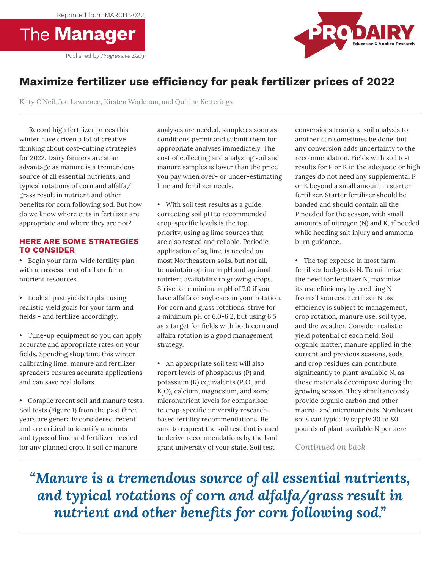Reprinted from MARCH 2022





## **Maximize fertilizer use efficiency for peak fertilizer prices of 2022**

Kitty O'Neil, Joe Lawrence, Kirsten Workman, and Quirine Ketterings

Record high fertilizer prices this winter have driven a lot of creative thinking about cost-cutting strategies for 2022. Dairy farmers are at an advantage as manure is a tremendous source of all essential nutrients, and typical rotations of corn and alfalfa/ grass result in nutrient and other benefits for corn following sod. But how do we know where cuts in fertilizer are appropriate and where they are not?

## **HERE ARE SOME STRATEGIES TO CONSIDER**

• Begin your farm-wide fertility plan mos with an assessment of all on-farm nutrient resources.

- $\bullet$  Look at past yields to plan using realistic yield goals for your farm and fields - and fertilize accordingly.
- Tune-up equipment so you can apply accurate and appropriate rates on your fields. Spending shop time this winter calibrating lime, manure and fertilizer spreaders ensures accurate applications and can save real dollars.
- Compile recent soil and manure tests. Soil tests (Figure 1) from the past three years are generally considered 'recent' and are critical to identify amounts and types of lime and fertilizer needed for any planned crop. If soil or manure Complie recent soft and manure to years are generally considered reco

analyses are needed, sample as soon as conditions permit and submit them for appropriate analyses immediately. The cost of collecting and analyzing soil and manure samples is lower than the price you pay when over- or under-estimating lime and fertilizer needs.

- With soil test results as a guide, correcting soil pH to recommended  $\overline{\text{crop-specific levels}}$  is the top priority, using ag lime sources that  $rac{1}{2}$  are also tested and reliable. Periodic application of ag lime is needed on most Northeastern soils, but not all, most not measure from, but not any to maintain optimum pH and optimal Figure 20 in the community of the community of the community of the social and  $\alpha$  or source all all  $\alpha$  or source all  $\alpha$  or source all  $\alpha$  or source all  $\alpha$  or source all  $\alpha$  or source all  $\alpha$  or source all  $\alpha$  o Strive for a minimum pH of 7.0 if you have alfalfa or soybeans in your rotation. For corn and grass rotations, strive for a minimum pH of 6.0-6.2, but using 6.5 as a target for fields with both corn and alfalfa rotation is a good management strategy.  $\frac{1}{2}$   $\frac{1}{2}$   $\frac{1}{2}$   $\frac{1}{2}$   $\frac{1}{2}$   $\frac{1}{2}$   $\frac{1}{2}$   $\frac{1}{2}$   $\frac{1}{2}$   $\frac{1}{2}$   $\frac{1}{2}$   $\frac{1}{2}$   $\frac{1}{2}$   $\frac{1}{2}$   $\frac{1}{2}$   $\frac{1}{2}$   $\frac{1}{2}$   $\frac{1}{2}$   $\frac{1}{2}$   $\frac{1}{2}$   $\frac{1}{2}$   $\frac{1}{2}$
- $\bullet$  An appropriate soil test will also report levels of phosphorus  $(P)$  and potassium (K) equivalents ( $\rm P_2O_5$  and  $K_2$ O), calcium, magnesium, and some micronutrient levels for comparison to crop-specific university researchbased fertility recommendations. Be sure to request the soil test that is used to derive recommendations by the land grant university of your state. Soil test report levels of phosphorus (P) al k,O), calcium, magnesium, and some  $F$  , with some contract results for  $F$  or  $P$  or  $P$  or  $P$ based for any recommendations. Be

conversions from one soil analysis to another can sometimes be done, but any conversion adds uncertainty to the recommendation. Fields with soil test results for P or K in the adequate or high ranges do not need any supplemental P or K beyond a small amount in starter fertilizer. Starter fertilizer should be banded and should contain all the P needed for the season, with small amounts of nitrogen (N) and K, if needed while heeding salt injury and ammonia burn guidance.

• The top expense in most farm fertilizer budgets is N. To minimize the need for fertilizer N, maximize its use efficiency by crediting N from all sources. Fertilizer N use efficiency is subject to management, crop rotation, manure use, soil type, and the weather. Consider realistic yield potential of each field. Soil  $\sum_{n=1}^{\infty}$  organic matter, manure applied in the current and previous seasons, sods and crop residues can contribute significantly to plant-available N, as those materials decompose during the growing season. They simultaneously provide organic carbon and other macro- and micronutrients. Northeast soils can typically supply 30 to 80 pounds of plant-available N per acre  $\bullet$  . The top expense in most farm management, community no ase emerging by creating is concretively is subject to management, and the weather, Consider realistic organic matter, manure applied in T has been applied, the Pre-Sidedress Nitrates Nitrates Nitrates Nitrates Nitrates Nitrates Nitrates Nitrates Ni  $T_{\text{S}}$  can only be plant at and  $T_{\text{S}}$  as

*Continued on back*

*"Manure is a tremendous source of all essential nutrients, and typical rotations of corn and alfalfa/grass result in nutrient and other benefits for corn following sod."*